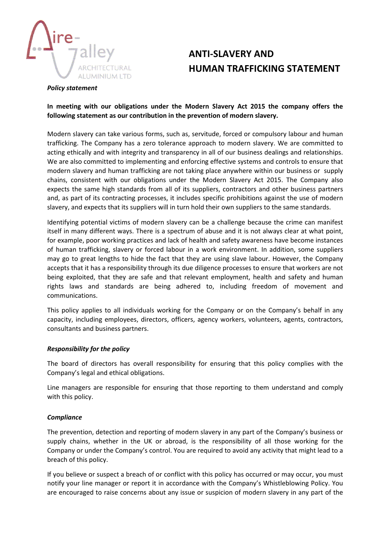

# **ANTI-SLAVERY AND HUMAN TRAFFICKING STATEMENT**

#### *Policy statement*

## **In meeting with our obligations under the Modern Slavery Act 2015 the company offers the following statement as our contribution in the prevention of modern slavery.**

Modern slavery can take various forms, such as, servitude, forced or compulsory labour and human trafficking. The Company has a zero tolerance approach to modern slavery. We are committed to acting ethically and with integrity and transparency in all of our business dealings and relationships. We are also committed to implementing and enforcing effective systems and controls to ensure that modern slavery and human trafficking are not taking place anywhere within our business or supply chains, consistent with our obligations under the Modern Slavery Act 2015. The Company also expects the same high standards from all of its suppliers, contractors and other business partners and, as part of its contracting processes, it includes specific prohibitions against the use of modern slavery, and expects that its suppliers will in turn hold their own suppliers to the same standards.

Identifying potential victims of modern slavery can be a challenge because the crime can manifest itself in many different ways. There is a spectrum of abuse and it is not always clear at what point, for example, poor working practices and lack of health and safety awareness have become instances of human trafficking, slavery or forced labour in a work environment. In addition, some suppliers may go to great lengths to hide the fact that they are using slave labour. However, the Company accepts that it has a responsibility through its due diligence processes to ensure that workers are not being exploited, that they are safe and that relevant employment, health and safety and human rights laws and standards are being adhered to, including freedom of movement and communications.

This policy applies to all individuals working for the Company or on the Company's behalf in any capacity, including employees, directors, officers, agency workers, volunteers, agents, contractors, consultants and business partners.

### *Responsibility for the policy*

The board of directors has overall responsibility for ensuring that this policy complies with the Company's legal and ethical obligations.

Line managers are responsible for ensuring that those reporting to them understand and comply with this policy.

### *Compliance*

The prevention, detection and reporting of modern slavery in any part of the Company's business or supply chains, whether in the UK or abroad, is the responsibility of all those working for the Company or under the Company's control. You are required to avoid any activity that might lead to a breach of this policy.

If you believe or suspect a breach of or conflict with this policy has occurred or may occur, you must notify your line manager or report it in accordance with the Company's Whistleblowing Policy. You are encouraged to raise concerns about any issue or suspicion of modern slavery in any part of the